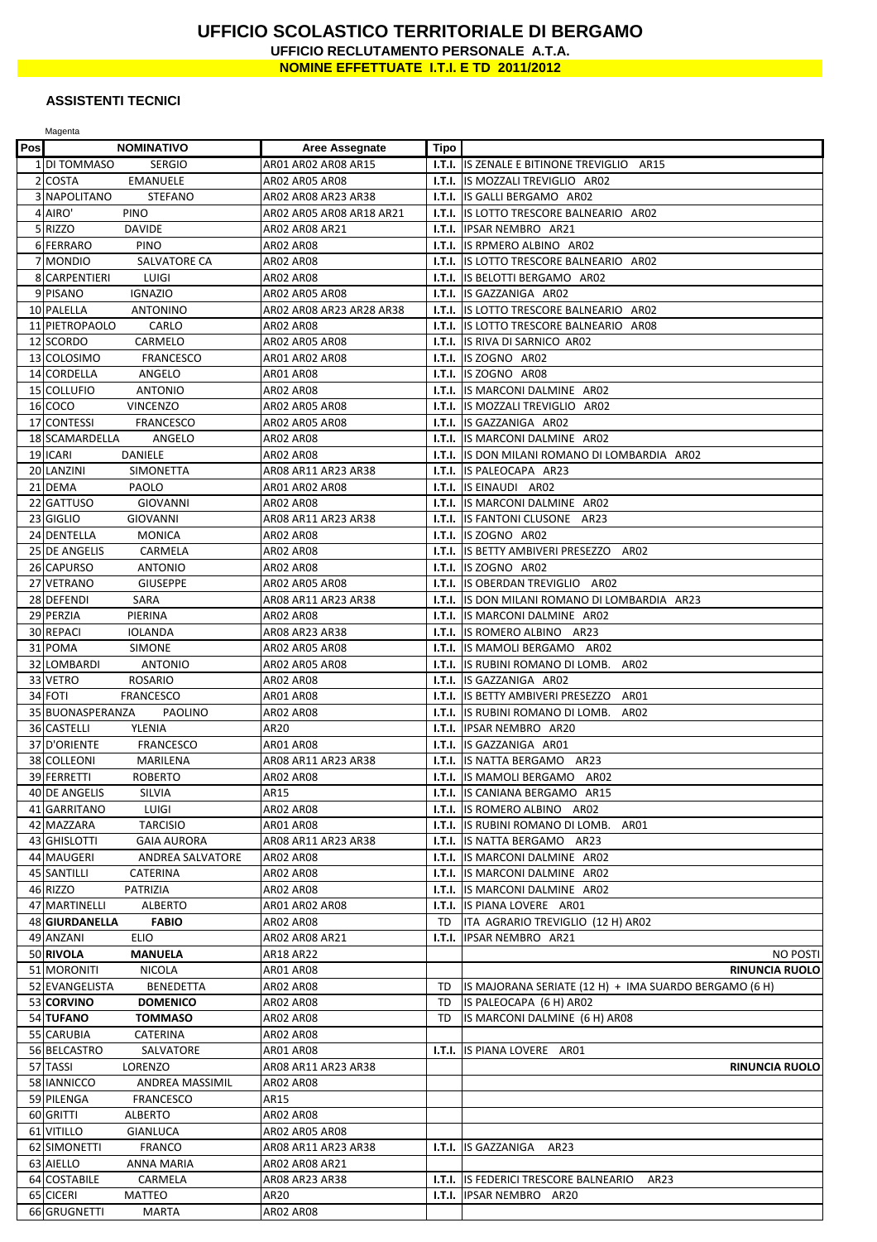## **UFFICIO SCOLASTICO TERRITORIALE DI BERGAMO UFFICIO RECLUTAMENTO PERSONALE A.T.A. NOMINE EFFETTUATE I.T.I. E TD 2011/2012**

## **ASSISTENTI TECNICI**

|     | Magenta                                        |                          |             |                                                          |
|-----|------------------------------------------------|--------------------------|-------------|----------------------------------------------------------|
| Pos | <b>NOMINATIVO</b>                              | <b>Aree Assegnate</b>    | <b>Tipo</b> |                                                          |
|     | 1 DI TOMMASO<br><b>SERGIO</b>                  | AR01 AR02 AR08 AR15      | I.T.I.      | IS ZENALE E BITINONE TREVIGLIO<br>AR15                   |
|     | 2 COSTA<br><b>EMANUELE</b>                     | AR02 AR05 AR08           | I.T.I.      | IS MOZZALI TREVIGLIO AR02                                |
|     | 3 NAPOLITANO<br><b>STEFANO</b>                 | AR02 AR08 AR23 AR38      | I.T.I.      | IS GALLI BERGAMO AR02                                    |
|     | 4 AIRO'<br>PINO                                | AR02 AR05 AR08 AR18 AR21 | I.T.I.      | <b>IS LOTTO TRESCORE BALNEARIO AR02</b>                  |
|     | 5 RIZZO<br><b>DAVIDE</b>                       | AR02 AR08 AR21           |             | <b>I.T.I. IPSAR NEMBRO</b> AR21                          |
|     | 6 FERRARO<br><b>PINO</b>                       | <b>AR02 AR08</b>         | I.T.I.      | IS RPMERO ALBINO AR02                                    |
|     | 7 MONDIO<br>SALVATORE CA                       | <b>AR02 AR08</b>         | I.T.I.      | IS LOTTO TRESCORE BALNEARIO AR02                         |
|     | 8 CARPENTIERI<br>LUIGI                         | AR02 AR08                | I.T.I.      | IS BELOTTI BERGAMO AR02                                  |
|     | 9 PISANO<br><b>IGNAZIO</b>                     | AR02 AR05 AR08           | I.T.I.      | IS GAZZANIGA AR02                                        |
|     | 10 PALELLA<br><b>ANTONINO</b>                  | AR02 AR08 AR23 AR28 AR38 |             | <b>I.T.I.</b> IS LOTTO TRESCORE BALNEARIO AR02           |
|     | 11 PIETROPAOLO<br>CARLO                        | <b>AR02 AR08</b>         | I.T.I.      | IS LOTTO TRESCORE BALNEARIO AR08                         |
|     | 12 SCORDO<br>CARMELO                           | <b>AR02 AR05 AR08</b>    | I.T.I.      | IS RIVA DI SARNICO AR02                                  |
|     | 13 COLOSIMO<br><b>FRANCESCO</b>                | AR01 AR02 AR08           |             | <b>I.T.I.</b> IS ZOGNO AR02                              |
|     | 14 CORDELLA<br>ANGELO                          | ARO1 ARO8                | I.T.I.      | IS ZOGNO AR08                                            |
|     | 15 COLLUFIO<br><b>ANTONIO</b>                  | <b>AR02 AR08</b>         |             | <b>I.T.I.</b> IS MARCONI DALMINE AR02                    |
|     | 16 COCO<br><b>VINCENZO</b>                     | AR02 AR05 AR08           |             | <b>I.T.I.</b> IS MOZZALI TREVIGLIO AR02                  |
|     | 17 CONTESSI<br><b>FRANCESCO</b>                | <b>AR02 AR05 AR08</b>    | I.T.I.      | IS GAZZANIGA AR02                                        |
|     | 18 SCAMARDELLA<br>ANGELO                       | <b>AR02 AR08</b>         | I.T.I.      | IS MARCONI DALMINE AR02                                  |
|     | 19 ICARI<br><b>DANIELE</b>                     | <b>AR02 AR08</b>         |             | <b>I.T.I.</b> IS DON MILANI ROMANO DI LOMBARDIA AR02     |
|     | 20 LANZINI<br><b>SIMONETTA</b>                 | AR08 AR11 AR23 AR38      | I.T.I.      | IS PALEOCAPA AR23                                        |
| 21  | <b>DEMA</b><br>PAOLO                           | AR01 AR02 AR08           |             | <b>I.T.I.</b> IS EINAUDI AR02                            |
| 22  | <b>GATTUSO</b><br><b>GIOVANNI</b>              | <b>AR02 AR08</b>         | I.T.I.      | IS MARCONI DALMINE AR02                                  |
|     | 23 GIGLIO<br><b>GIOVANNI</b>                   | AR08 AR11 AR23 AR38      | I.T.I.      | IS FANTONI CLUSONE AR23                                  |
|     | 24 DENTELLA<br><b>MONICA</b>                   | AR02 AR08                | I.T.I.      | ISZOGNO AR02                                             |
|     | 25 DE ANGELIS<br>CARMELA                       | ARO2 ARO8                | I.T.I.      | IS BETTY AMBIVERI PRESEZZO<br>AR02                       |
|     | 26 CAPURSO<br><b>ANTONIO</b>                   | ARO2 ARO8                | I.T.I.      | IS ZOGNO AR02                                            |
|     | 27 VETRANO<br><b>GIUSEPPE</b>                  | AR02 AR05 AR08           |             | I.T.I. IS OBERDAN TREVIGLIO AR02                         |
|     | SARA<br>28 DEFENDI                             | AR08 AR11 AR23 AR38      | I.T.I.      | IS DON MILANI ROMANO DI LOMBARDIA AR23                   |
|     | 29 PERZIA<br>PIERINA                           | <b>AR02 AR08</b>         | I.T.I.      | IS MARCONI DALMINE AR02                                  |
|     | 30 REPACI<br><b>IOLANDA</b>                    | AR08 AR23 AR38           |             | <b>I.T.I.</b> IS ROMERO ALBINO AR23                      |
| 31  | <b>POMA</b><br><b>SIMONE</b>                   | AR02 AR05 AR08           | I.T.I.      | IS MAMOLI BERGAMO AR02                                   |
|     | 32 LOMBARDI<br><b>ANTONIO</b>                  | AR02 AR05 AR08           |             | <b>I.T.I.</b> IS RUBINI ROMANO DI LOMB. AR02             |
|     | <b>ROSARIO</b><br>33 VETRO                     | <b>AR02 AR08</b>         |             | <b>I.T.I.</b> IS GAZZANIGA AR02                          |
|     | 34 FOTI<br><b>FRANCESCO</b>                    | <b>AR01 AR08</b>         | I.T.I.      | IS BETTY AMBIVERI PRESEZZO<br>AR01                       |
| 35  | <b>BUONASPERANZA</b><br><b>PAOLINO</b>         | AR02 AR08                | I.T.I.      | AR02<br>IS RUBINI ROMANO DI LOMB.                        |
|     | 36 CASTELLI<br>YLENIA                          | AR20                     | I.T.I.      | IPSAR NEMBRO AR20                                        |
|     | 37 D'ORIENTE<br><b>FRANCESCO</b>               | AR01 AR08                | I.T.I.      | IS GAZZANIGA AR01                                        |
|     | 38 COLLEONI<br>MARILENA                        | AR08 AR11 AR23 AR38      |             | <b>I.T.I.</b> IS NATTA BERGAMO AR23                      |
|     | 39 FERRETTI<br><b>ROBERTO</b>                  | AR02 AR08                |             | <b>I.T.I.</b> IS MAMOLI BERGAMO AR02                     |
|     | 40 DE ANGELIS<br>SILVIA                        | AR15                     |             | <b>I.T.I.</b> IS CANIANA BERGAMO AR15                    |
|     | 41 GARRITANO<br><b>LUIGI</b>                   | AR02 AR08                |             | I.T.I. IS ROMERO ALBINO AR02                             |
|     | 42 MAZZARA<br><b>TARCISIO</b>                  | ARO1 ARO8                |             | <b>I.T.I.</b> IS RUBINI ROMANO DI LOMB. AR01             |
|     | 43 GHISLOTTI<br><b>GAIA AURORA</b>             | AR08 AR11 AR23 AR38      |             | <b>I.T.I.</b> IS NATTA BERGAMO AR23                      |
|     | 44 MAUGERI<br>ANDREA SALVATORE                 | AR02 AR08                |             | <b>I.T.I.</b> IS MARCONI DALMINE AR02                    |
|     | 45 SANTILLI<br>CATERINA                        | <b>AR02 AR08</b>         |             | <b>I.T.I.</b> IS MARCONI DALMINE AR02                    |
|     | 46 RIZZO<br>PATRIZIA                           | ARO2 ARO8                |             | <b>I.T.I.</b> IS MARCONI DALMINE AR02                    |
|     | 47 MARTINELLI<br>ALBERTO                       | AR01 AR02 AR08           |             | <b>I.T.I.</b> IS PIANA LOVERE AR01                       |
|     | 48 GIURDANELLA<br><b>FABIO</b>                 | AR02 AR08                | TD.         | ITA AGRARIO TREVIGLIO (12 H) AR02                        |
|     | 49 ANZANI<br><b>ELIO</b>                       | AR02 AR08 AR21           | I.T.I.      | IPSAR NEMBRO AR21                                        |
|     | 50 RIVOLA<br>MANUELA                           | AR18 AR22                |             | <b>NO POSTI</b>                                          |
|     | 51 MORONITI<br><b>NICOLA</b><br>52 EVANGELISTA | <b>AR01 AR08</b>         |             | <b>RINUNCIA RUOLO</b>                                    |
|     | <b>BENEDETTA</b><br>53 CORVINO                 | AR02 AR08                | TD<br>TD    | IS MAJORANA SERIATE (12 H) + IMA SUARDO BERGAMO (6 H)    |
|     | <b>DOMENICO</b><br>54 TUFANO<br><b>TOMMASO</b> | ARO2 ARO8<br>ARO2 ARO8   | TD          | IS PALEOCAPA (6 H) AR02<br>IS MARCONI DALMINE (6 H) AR08 |
|     | 55 CARUBIA<br>CATERINA                         | AR02 AR08                |             |                                                          |
|     | 56 BELCASTRO<br>SALVATORE                      | AR01 AR08                |             | <b>I.T.I.</b> IS PIANA LOVERE AR01                       |
|     | 57 TASSI<br>LORENZO                            | AR08 AR11 AR23 AR38      |             | <b>RINUNCIA RUOLO</b>                                    |
|     | 58 IANNICCO<br>ANDREA MASSIMIL                 | AR02 AR08                |             |                                                          |
|     | 59 PILENGA<br><b>FRANCESCO</b>                 | AR15                     |             |                                                          |
|     | 60 GRITTI<br><b>ALBERTO</b>                    | AR02 AR08                |             |                                                          |
|     | 61 VITILLO<br><b>GIANLUCA</b>                  | <b>AR02 AR05 AR08</b>    |             |                                                          |
|     | 62 SIMONETTI<br><b>FRANCO</b>                  | AR08 AR11 AR23 AR38      | I.T.I.      | IS GAZZANIGA<br>AR23                                     |
|     | 63 AIELLO<br>ANNA MARIA                        | AR02 AR08 AR21           |             |                                                          |
|     | 64 COSTABILE<br>CARMELA                        | AR08 AR23 AR38           |             | <b>I.T.I.</b> IS FEDERICI TRESCORE BALNEARIO<br>AR23     |
|     | 65 CICERI<br>MATTEO                            | AR20                     | I.T.I.      | IPSAR NEMBRO AR20                                        |
|     | 66 GRUGNETTI<br>MARTA                          | <b>AR02 AR08</b>         |             |                                                          |